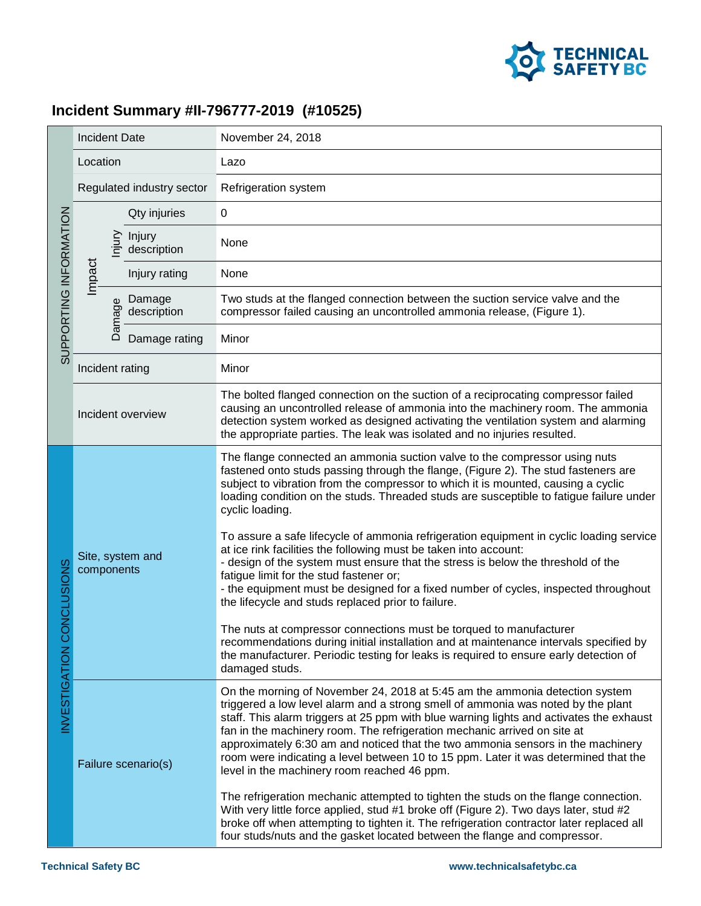

## **Incident Summary #II-796777-2019 (#10525)**

| SUPPORTING INFORMATION               | <b>Incident Date</b>           |        |                       | November 24, 2018                                                                                                                                                                                                                                                                                                                                                                                                                                                                                                                                                                                                                                                                                                                                                                                                                                                                                                                                                                                                                                                                        |
|--------------------------------------|--------------------------------|--------|-----------------------|------------------------------------------------------------------------------------------------------------------------------------------------------------------------------------------------------------------------------------------------------------------------------------------------------------------------------------------------------------------------------------------------------------------------------------------------------------------------------------------------------------------------------------------------------------------------------------------------------------------------------------------------------------------------------------------------------------------------------------------------------------------------------------------------------------------------------------------------------------------------------------------------------------------------------------------------------------------------------------------------------------------------------------------------------------------------------------------|
|                                      | Location                       |        |                       | Lazo                                                                                                                                                                                                                                                                                                                                                                                                                                                                                                                                                                                                                                                                                                                                                                                                                                                                                                                                                                                                                                                                                     |
|                                      | Regulated industry sector      |        |                       | Refrigeration system                                                                                                                                                                                                                                                                                                                                                                                                                                                                                                                                                                                                                                                                                                                                                                                                                                                                                                                                                                                                                                                                     |
|                                      |                                |        | Qty injuries          | 0                                                                                                                                                                                                                                                                                                                                                                                                                                                                                                                                                                                                                                                                                                                                                                                                                                                                                                                                                                                                                                                                                        |
|                                      | Impact                         | njury  | Injury<br>description | None                                                                                                                                                                                                                                                                                                                                                                                                                                                                                                                                                                                                                                                                                                                                                                                                                                                                                                                                                                                                                                                                                     |
|                                      |                                |        | Injury rating         | None                                                                                                                                                                                                                                                                                                                                                                                                                                                                                                                                                                                                                                                                                                                                                                                                                                                                                                                                                                                                                                                                                     |
|                                      |                                | Damage | Damage<br>description | Two studs at the flanged connection between the suction service valve and the<br>compressor failed causing an uncontrolled ammonia release, (Figure 1).                                                                                                                                                                                                                                                                                                                                                                                                                                                                                                                                                                                                                                                                                                                                                                                                                                                                                                                                  |
|                                      |                                |        | Damage rating         | Minor                                                                                                                                                                                                                                                                                                                                                                                                                                                                                                                                                                                                                                                                                                                                                                                                                                                                                                                                                                                                                                                                                    |
|                                      | Incident rating                |        |                       | Minor                                                                                                                                                                                                                                                                                                                                                                                                                                                                                                                                                                                                                                                                                                                                                                                                                                                                                                                                                                                                                                                                                    |
|                                      | Incident overview              |        |                       | The bolted flanged connection on the suction of a reciprocating compressor failed<br>causing an uncontrolled release of ammonia into the machinery room. The ammonia<br>detection system worked as designed activating the ventilation system and alarming<br>the appropriate parties. The leak was isolated and no injuries resulted.                                                                                                                                                                                                                                                                                                                                                                                                                                                                                                                                                                                                                                                                                                                                                   |
| <b>DNCLUSIONS</b><br>INVESTIGATION C | Site, system and<br>components |        |                       | The flange connected an ammonia suction valve to the compressor using nuts<br>fastened onto studs passing through the flange, (Figure 2). The stud fasteners are<br>subject to vibration from the compressor to which it is mounted, causing a cyclic<br>loading condition on the studs. Threaded studs are susceptible to fatigue failure under<br>cyclic loading.<br>To assure a safe lifecycle of ammonia refrigeration equipment in cyclic loading service<br>at ice rink facilities the following must be taken into account:<br>- design of the system must ensure that the stress is below the threshold of the<br>fatigue limit for the stud fastener or;<br>- the equipment must be designed for a fixed number of cycles, inspected throughout<br>the lifecycle and studs replaced prior to failure.<br>The nuts at compressor connections must be torqued to manufacturer<br>recommendations during initial installation and at maintenance intervals specified by<br>the manufacturer. Periodic testing for leaks is required to ensure early detection of<br>damaged studs. |
|                                      | Failure scenario(s)            |        |                       | On the morning of November 24, 2018 at 5:45 am the ammonia detection system<br>triggered a low level alarm and a strong smell of ammonia was noted by the plant<br>staff. This alarm triggers at 25 ppm with blue warning lights and activates the exhaust<br>fan in the machinery room. The refrigeration mechanic arrived on site at<br>approximately 6:30 am and noticed that the two ammonia sensors in the machinery<br>room were indicating a level between 10 to 15 ppm. Later it was determined that the<br>level in the machinery room reached 46 ppm.<br>The refrigeration mechanic attempted to tighten the studs on the flange connection.<br>With very little force applied, stud #1 broke off (Figure 2). Two days later, stud #2<br>broke off when attempting to tighten it. The refrigeration contractor later replaced all<br>four studs/nuts and the gasket located between the flange and compressor.                                                                                                                                                                 |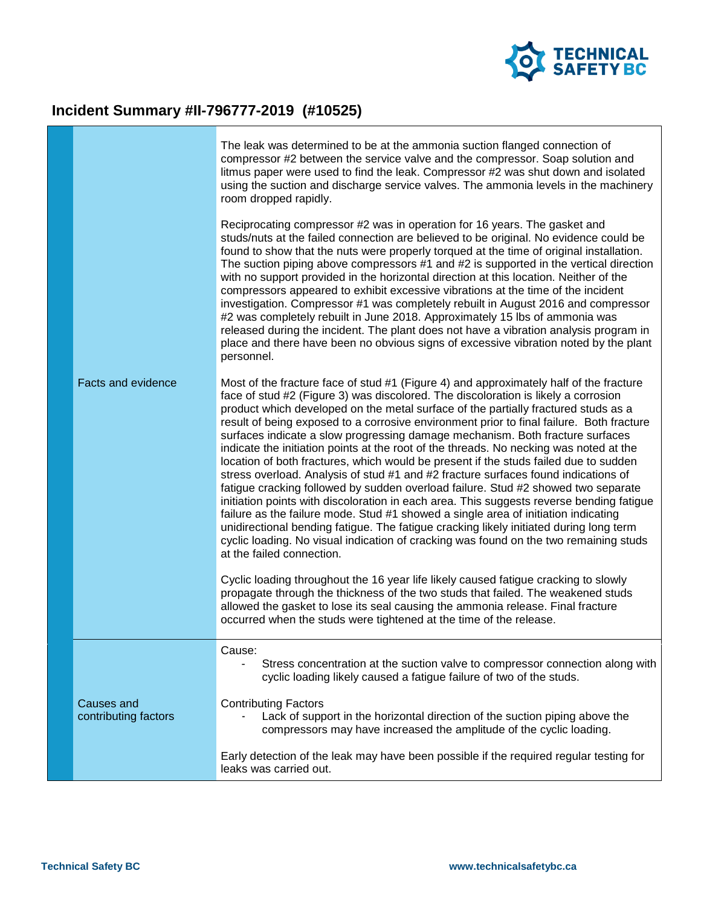

## **Incident Summary #II-796777-2019 (#10525)**

|                                    | The leak was determined to be at the ammonia suction flanged connection of<br>compressor #2 between the service valve and the compressor. Soap solution and<br>litmus paper were used to find the leak. Compressor #2 was shut down and isolated<br>using the suction and discharge service valves. The ammonia levels in the machinery<br>room dropped rapidly.                                                                                                                                                                                                                                                                                                                                                                                                                                                                                                                                                                                                                                                                                                                                                                                                                                               |
|------------------------------------|----------------------------------------------------------------------------------------------------------------------------------------------------------------------------------------------------------------------------------------------------------------------------------------------------------------------------------------------------------------------------------------------------------------------------------------------------------------------------------------------------------------------------------------------------------------------------------------------------------------------------------------------------------------------------------------------------------------------------------------------------------------------------------------------------------------------------------------------------------------------------------------------------------------------------------------------------------------------------------------------------------------------------------------------------------------------------------------------------------------------------------------------------------------------------------------------------------------|
|                                    | Reciprocating compressor #2 was in operation for 16 years. The gasket and<br>studs/nuts at the failed connection are believed to be original. No evidence could be<br>found to show that the nuts were properly torqued at the time of original installation.<br>The suction piping above compressors #1 and #2 is supported in the vertical direction<br>with no support provided in the horizontal direction at this location. Neither of the<br>compressors appeared to exhibit excessive vibrations at the time of the incident<br>investigation. Compressor #1 was completely rebuilt in August 2016 and compressor<br>#2 was completely rebuilt in June 2018. Approximately 15 lbs of ammonia was<br>released during the incident. The plant does not have a vibration analysis program in<br>place and there have been no obvious signs of excessive vibration noted by the plant<br>personnel.                                                                                                                                                                                                                                                                                                         |
| <b>Facts and evidence</b>          | Most of the fracture face of stud #1 (Figure 4) and approximately half of the fracture<br>face of stud #2 (Figure 3) was discolored. The discoloration is likely a corrosion<br>product which developed on the metal surface of the partially fractured studs as a<br>result of being exposed to a corrosive environment prior to final failure. Both fracture<br>surfaces indicate a slow progressing damage mechanism. Both fracture surfaces<br>indicate the initiation points at the root of the threads. No necking was noted at the<br>location of both fractures, which would be present if the studs failed due to sudden<br>stress overload. Analysis of stud #1 and #2 fracture surfaces found indications of<br>fatigue cracking followed by sudden overload failure. Stud #2 showed two separate<br>initiation points with discoloration in each area. This suggests reverse bending fatigue<br>failure as the failure mode. Stud #1 showed a single area of initiation indicating<br>unidirectional bending fatigue. The fatigue cracking likely initiated during long term<br>cyclic loading. No visual indication of cracking was found on the two remaining studs<br>at the failed connection. |
|                                    | Cyclic loading throughout the 16 year life likely caused fatigue cracking to slowly<br>propagate through the thickness of the two studs that failed. The weakened studs<br>allowed the gasket to lose its seal causing the ammonia release. Final fracture<br>occurred when the studs were tightened at the time of the release.                                                                                                                                                                                                                                                                                                                                                                                                                                                                                                                                                                                                                                                                                                                                                                                                                                                                               |
|                                    | Cause:<br>Stress concentration at the suction valve to compressor connection along with<br>cyclic loading likely caused a fatigue failure of two of the studs.                                                                                                                                                                                                                                                                                                                                                                                                                                                                                                                                                                                                                                                                                                                                                                                                                                                                                                                                                                                                                                                 |
| Causes and<br>contributing factors | <b>Contributing Factors</b><br>Lack of support in the horizontal direction of the suction piping above the<br>compressors may have increased the amplitude of the cyclic loading.                                                                                                                                                                                                                                                                                                                                                                                                                                                                                                                                                                                                                                                                                                                                                                                                                                                                                                                                                                                                                              |
|                                    | Early detection of the leak may have been possible if the required regular testing for<br>leaks was carried out.                                                                                                                                                                                                                                                                                                                                                                                                                                                                                                                                                                                                                                                                                                                                                                                                                                                                                                                                                                                                                                                                                               |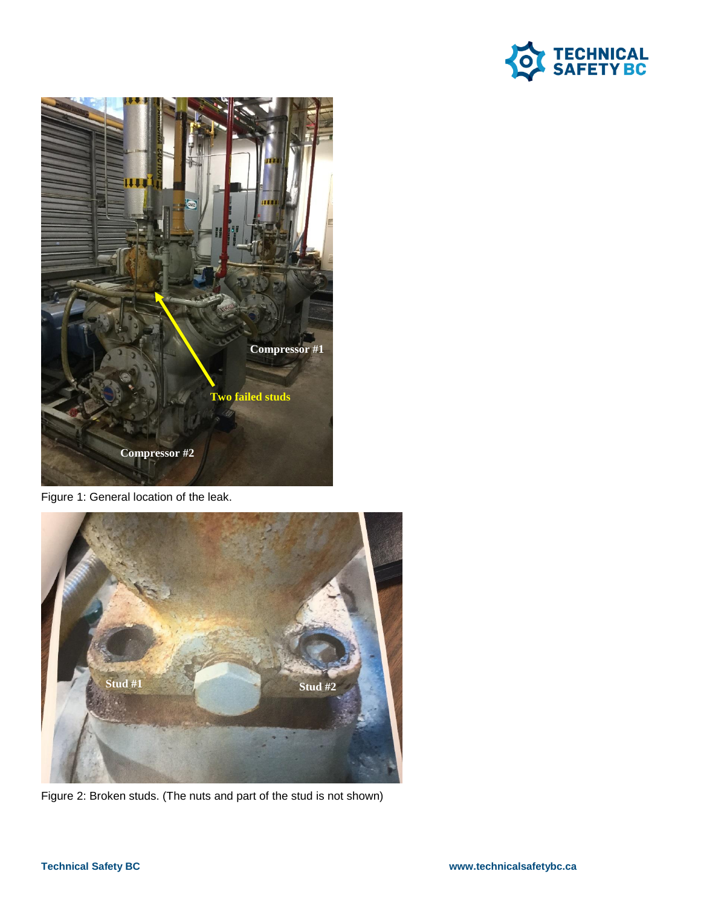



Figure 1: General location of the leak.



Figure 2: Broken studs. (The nuts and part of the stud is not shown)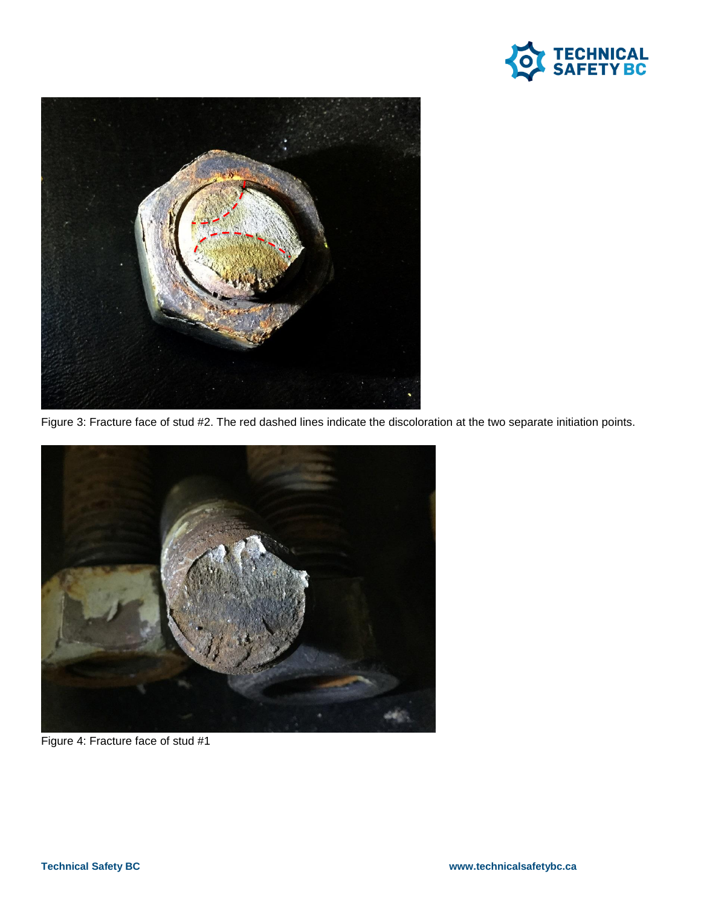



Figure 3: Fracture face of stud #2. The red dashed lines indicate the discoloration at the two separate initiation points.



Figure 4: Fracture face of stud #1